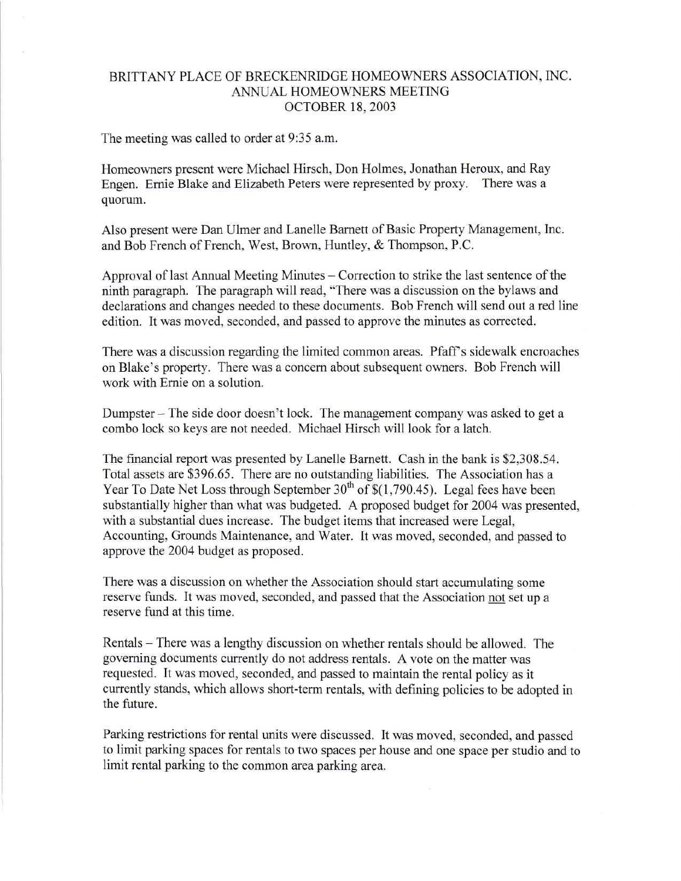## BRITTANY PLACE OF BRECKENRIDGE HOMEOWNERS ASSOCIATION, INC. ANNUAL HOMEOWNERS MEETING OCTOBER 18, 2003

The meeting was called to order at 9:35 a.m.

Homeowners present were Michael Hirsch, Don Holmes, Jonathan Heroux, and Ray Engen. Ernie Blake and Elizabeth Peters were represented by proxy. There was a quorum.

Also present were Dan Ulmer and Lanelle Barnett of Basic Property Management, Inc. and Bob French of French, West, Brown, Huntley, & Thompson, P.C.

Approval of last Annual Meeting Minutes – Correction to strike the last sentence of the ninth paragraph. The paragraph will read, "There was a discussion on the bylaws and declarations and changes needed to these documents. Bob French will send out a red line edition. It was moved, seconded, and passed to approve the minutes as corrected.

There was a discussion regarding the limited common areas. Pfaff s sidewalk encroaches on Blake's property. There was a concern about subsequent owners. Bob French will work with Ernie on a solution.

Dumpster - The side door doesn't lock. The management company was asked to get a combo lock so keys are not needed. Michael Hirsch will look for a latch.

The financial report was presented by Lanelle Barnett. Cash in the bank is \$2,308.54. Total assets are \$396.65. There are no outstanding liabilities. The Association has a Year To Date Net Loss through September  $30<sup>th</sup>$  of \$(1,790.45). Legal fees have been substantially higher than what was budgeted. A proposed budget for 2004 was presented, with a substantial dues increase. The budget items that increased were Legal, Accounting, Grounds Maintenance, and Water. It was moved, seconded, and passed to approve the 2004 budget as proposed.

There was a discussion on whether the Association should start accumulating some reserve funds. It was moved, seconded, and passed that the Association not set up a reserve fund at this time.

Rentals – There was a lengthy discussion on whether rentals should be allowed. The governing documents currently do not address rentals. A vote on the matter was requested. It was moved, seconded, and passed to maintain the rental policy as it currently stands, which allows short-term rentals, with defining policies to be adopted in the future.

Parking restrictions for rental units were discussed. It was moved, seconded, and passed to limit parking spaces for rentals to two spaces per house and one space per studio and to limit rental parking to the common area parking area.